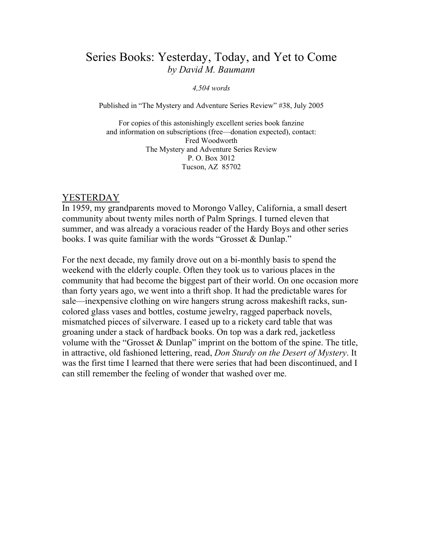# Series Books: Yesterday, Today, and Yet to Come by David M. Baumann

#### 4,504 words

Published in "The Mystery and Adventure Series Review" #38, July 2005

For copies of this astonishingly excellent series book fanzine and information on subscriptions (free—donation expected), contact: Fred Woodworth The Mystery and Adventure Series Review P. O. Box 3012 Tucson, AZ 85702

#### YESTERDAY

In 1959, my grandparents moved to Morongo Valley, California, a small desert community about twenty miles north of Palm Springs. I turned eleven that summer, and was already a voracious reader of the Hardy Boys and other series books. I was quite familiar with the words "Grosset & Dunlap."

For the next decade, my family drove out on a bi-monthly basis to spend the weekend with the elderly couple. Often they took us to various places in the community that had become the biggest part of their world. On one occasion more than forty years ago, we went into a thrift shop. It had the predictable wares for sale—inexpensive clothing on wire hangers strung across makeshift racks, suncolored glass vases and bottles, costume jewelry, ragged paperback novels, mismatched pieces of silverware. I eased up to a rickety card table that was groaning under a stack of hardback books. On top was a dark red, jacketless volume with the "Grosset & Dunlap" imprint on the bottom of the spine. The title, in attractive, old fashioned lettering, read, Don Sturdy on the Desert of Mystery. It was the first time I learned that there were series that had been discontinued, and I can still remember the feeling of wonder that washed over me.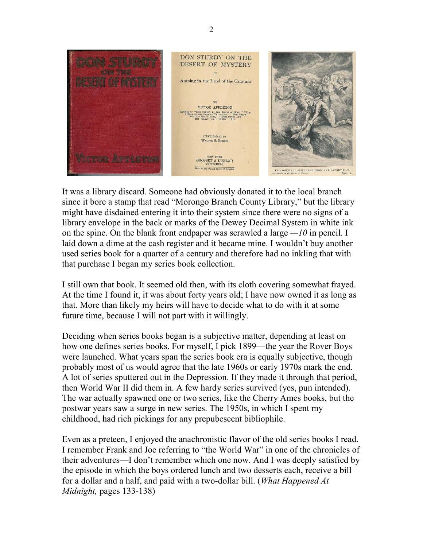

It was a library discard. Someone had obviously donated it to the local branch since it bore a stamp that read "Morongo Branch County Library," but the library might have disdained entering it into their system since there were no signs of a library envelope in the back or marks of the Dewey Decimal System in white ink on the spine. On the blank front endpaper was scrawled a large  $-I<sub>0</sub>$  in pencil. I laid down a dime at the cash register and it became mine. I wouldn't buy another used series book for a quarter of a century and therefore had no inkling that with that purchase I began my series book collection.

I still own that book. It seemed old then, with its cloth covering somewhat frayed. At the time I found it, it was about forty years old; I have now owned it as long as that. More than likely my heirs will have to decide what to do with it at some future time, because I will not part with it willingly.

Deciding when series books began is a subjective matter, depending at least on how one defines series books. For myself, I pick 1899—the year the Rover Boys were launched. What years span the series book era is equally subjective, though probably most of us would agree that the late 1960s or early 1970s mark the end. A lot of series sputtered out in the Depression. If they made it through that period, then World War II did them in. A few hardy series survived (yes, pun intended). The war actually spawned one or two series, like the Cherry Ames books, but the postwar years saw a surge in new series. The 1950s, in which I spent my childhood, had rich pickings for any prepubescent bibliophile.

Even as a preteen, I enjoyed the anachronistic flavor of the old series books I read. I remember Frank and Joe referring to "the World War" in one of the chronicles of their adventures—I don't remember which one now. And I was deeply satisfied by the episode in which the boys ordered lunch and two desserts each, receive a bill for a dollar and a half, and paid with a two-dollar bill. (What Happened At Midnight, pages 133-138)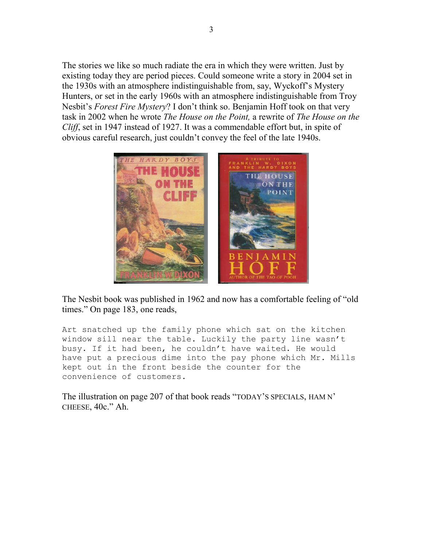The stories we like so much radiate the era in which they were written. Just by existing today they are period pieces. Could someone write a story in 2004 set in the 1930s with an atmosphere indistinguishable from, say, Wyckoff's Mystery Hunters, or set in the early 1960s with an atmosphere indistinguishable from Troy Nesbit's *Forest Fire Mystery*? I don't think so. Benjamin Hoff took on that very task in 2002 when he wrote The House on the Point, a rewrite of The House on the Cliff, set in 1947 instead of 1927. It was a commendable effort but, in spite of obvious careful research, just couldn't convey the feel of the late 1940s.



The Nesbit book was published in 1962 and now has a comfortable feeling of "old times." On page 183, one reads,

Art snatched up the family phone which sat on the kitchen window sill near the table. Luckily the party line wasn't busy. If it had been, he couldn't have waited. He would have put a precious dime into the pay phone which Mr. Mills kept out in the front beside the counter for the convenience of customers.

The illustration on page 207 of that book reads "TODAY'S SPECIALS, HAM N' CHEESE, 40c." Ah.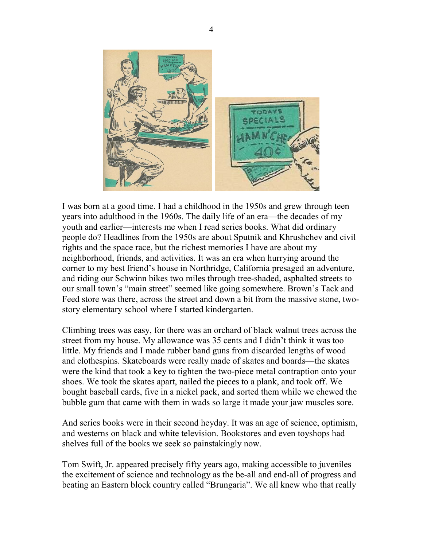

I was born at a good time. I had a childhood in the 1950s and grew through teen years into adulthood in the 1960s. The daily life of an era—the decades of my youth and earlier—interests me when I read series books. What did ordinary people do? Headlines from the 1950s are about Sputnik and Khrushchev and civil rights and the space race, but the richest memories I have are about my neighborhood, friends, and activities. It was an era when hurrying around the corner to my best friend's house in Northridge, California presaged an adventure, and riding our Schwinn bikes two miles through tree-shaded, asphalted streets to our small town's "main street" seemed like going somewhere. Brown's Tack and Feed store was there, across the street and down a bit from the massive stone, twostory elementary school where I started kindergarten.

Climbing trees was easy, for there was an orchard of black walnut trees across the street from my house. My allowance was 35 cents and I didn't think it was too little. My friends and I made rubber band guns from discarded lengths of wood and clothespins. Skateboards were really made of skates and boards—the skates were the kind that took a key to tighten the two-piece metal contraption onto your shoes. We took the skates apart, nailed the pieces to a plank, and took off. We bought baseball cards, five in a nickel pack, and sorted them while we chewed the bubble gum that came with them in wads so large it made your jaw muscles sore.

And series books were in their second heyday. It was an age of science, optimism, and westerns on black and white television. Bookstores and even toyshops had shelves full of the books we seek so painstakingly now.

Tom Swift, Jr. appeared precisely fifty years ago, making accessible to juveniles the excitement of science and technology as the be-all and end-all of progress and beating an Eastern block country called "Brungaria". We all knew who that really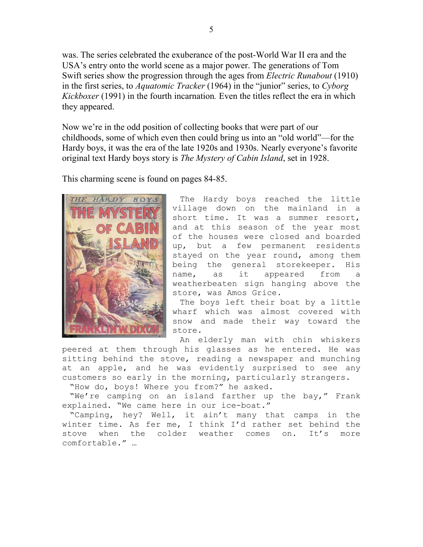was. The series celebrated the exuberance of the post-World War II era and the USA's entry onto the world scene as a major power. The generations of Tom Swift series show the progression through the ages from *Electric Runabout* (1910) in the first series, to *Aquatomic Tracker* (1964) in the "junior" series, to Cyborg Kickboxer (1991) in the fourth incarnation. Even the titles reflect the era in which they appeared.

Now we're in the odd position of collecting books that were part of our childhoods, some of which even then could bring us into an "old world"—for the Hardy boys, it was the era of the late 1920s and 1930s. Nearly everyone's favorite original text Hardy boys story is The Mystery of Cabin Island, set in 1928.

This charming scene is found on pages 84-85.



 The Hardy boys reached the little village down on the mainland in a short time. It was a summer resort, and at this season of the year most of the houses were closed and boarded up, but a few permanent residents stayed on the year round, among them being the general storekeeper. His name, as it appeared from a weatherbeaten sign hanging above the store, was Amos Grice.

The boys left their boat by a little wharf which was almost covered with snow and made their way toward the store.

 An elderly man with chin whiskers peered at them through his glasses as he entered. He was sitting behind the stove, reading a newspaper and munching at an apple, and he was evidently surprised to see any customers so early in the morning, particularly strangers.

"How do, boys! Where you from?" he asked.

 "We're camping on an island farther up the bay," Frank explained. "We came here in our ice-boat."

 "Camping, hey? Well, it ain't many that camps in the winter time. As fer me, I think I'd rather set behind the stove when the colder weather comes on. It's more comfortable." …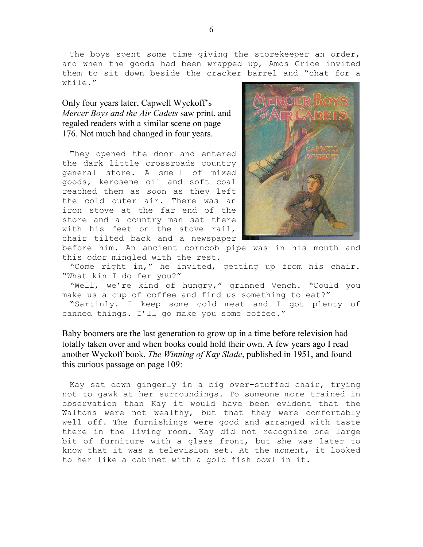The boys spent some time giving the storekeeper an order, and when the goods had been wrapped up, Amos Grice invited them to sit down beside the cracker barrel and "chat for a while."

### Only four years later, Capwell Wyckoff's Mercer Boys and the Air Cadets saw print, and regaled readers with a similar scene on page 176. Not much had changed in four years.

They opened the door and entered the dark little crossroads country general store. A smell of mixed goods, kerosene oil and soft coal reached them as soon as they left the cold outer air. There was an iron stove at the far end of the store and a country man sat there with his feet on the stove rail, chair tilted back and a newspaper



before him. An ancient corncob pipe was in his mouth and this odor mingled with the rest.

 "Come right in," he invited, getting up from his chair. "What kin I do fer you?"

 "Well, we're kind of hungry," grinned Vench. "Could you make us a cup of coffee and find us something to eat?"

 "Sartinly. I keep some cold meat and I got plenty of canned things. I'll go make you some coffee."

Baby boomers are the last generation to grow up in a time before television had totally taken over and when books could hold their own. A few years ago I read another Wyckoff book, The Winning of Kay Slade, published in 1951, and found this curious passage on page 109:

 Kay sat down gingerly in a big over-stuffed chair, trying not to gawk at her surroundings. To someone more trained in observation than Kay it would have been evident that the Waltons were not wealthy, but that they were comfortably well off. The furnishings were good and arranged with taste there in the living room. Kay did not recognize one large bit of furniture with a glass front, but she was later to know that it was a television set. At the moment, it looked to her like a cabinet with a gold fish bowl in it.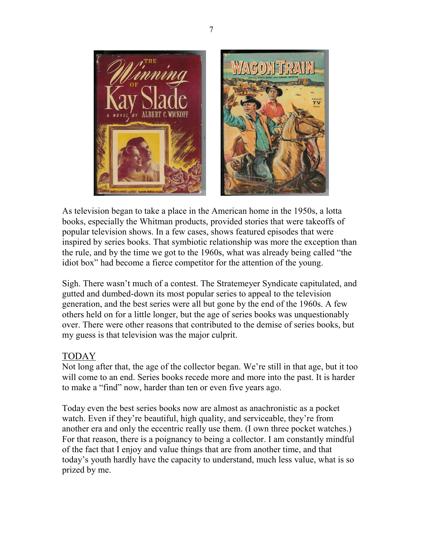

As television began to take a place in the American home in the 1950s, a lotta books, especially the Whitman products, provided stories that were takeoffs of popular television shows. In a few cases, shows featured episodes that were inspired by series books. That symbiotic relationship was more the exception than the rule, and by the time we got to the 1960s, what was already being called "the idiot box" had become a fierce competitor for the attention of the young.

Sigh. There wasn't much of a contest. The Stratemeyer Syndicate capitulated, and gutted and dumbed-down its most popular series to appeal to the television generation, and the best series were all but gone by the end of the 1960s. A few others held on for a little longer, but the age of series books was unquestionably over. There were other reasons that contributed to the demise of series books, but my guess is that television was the major culprit.

# TODAY

Not long after that, the age of the collector began. We're still in that age, but it too will come to an end. Series books recede more and more into the past. It is harder to make a "find" now, harder than ten or even five years ago.

Today even the best series books now are almost as anachronistic as a pocket watch. Even if they're beautiful, high quality, and serviceable, they're from another era and only the eccentric really use them. (I own three pocket watches.) For that reason, there is a poignancy to being a collector. I am constantly mindful of the fact that I enjoy and value things that are from another time, and that today's youth hardly have the capacity to understand, much less value, what is so prized by me.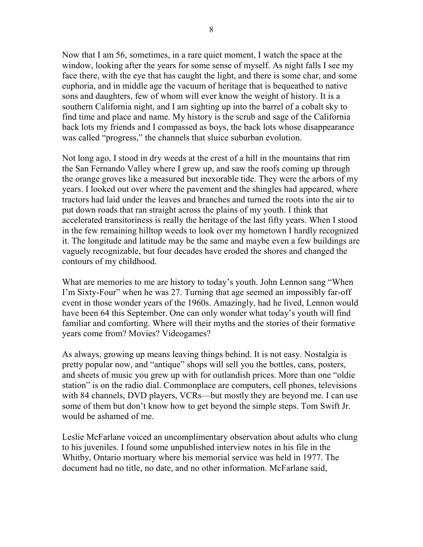Now that I am 56, sometimes, in a rare quiet moment, I watch the space at the window, looking after the years for some sense of myself. As night falls I see my face there, with the eye that has caught the light, and there is some char, and some euphoria, and in middle age the vacuum of heritage that is bequeathed to native sons and daughters, few of whom will ever know the weight of history. It is a southern California night, and I am sighting up into the barrel of a cobalt sky to find time and place and name. My history is the scrub and sage of the California back lots my friends and I compassed as boys, the back lots whose disappearance was called "progress," the channels that sluice suburban evolution.

Not long ago, I stood in dry weeds at the crest of a hill in the mountains that rim the San Fernando Valley where I grew up, and saw the roofs coming up through the orange groves like a measured but inexorable tide. They were the arbors of my years. I looked out over where the pavement and the shingles had appeared, where tractors had laid under the leaves and branches and turned the roots into the air to put down roads that ran straight across the plains of my youth. I think that accelerated transitoriness is really the heritage of the last fifty years. When I stood in the few remaining hilltop weeds to look over my hometown I hardly recognized it. The longitude and latitude may be the same and maybe even a few buildings are vaguely recognizable, but four decades have eroded the shores and changed the contours of my childhood.

What are memories to me are history to today's youth. John Lennon sang "When I'm Sixty-Four" when he was 27. Turning that age seemed an impossibly far-off event in those wonder years of the 1960s. Amazingly, had he lived, Lennon would have been 64 this September. One can only wonder what today's youth will find familiar and comforting. Where will their myths and the stories of their formative years come from? Movies? Videogames?

As always, growing up means leaving things behind. It is not easy. Nostalgia is pretty popular now, and "antique" shops will sell you the bottles, cans, posters, and sheets of music you grew up with for outlandish prices. More than one "oldie station" is on the radio dial. Commonplace are computers, cell phones, televisions with 84 channels, DVD players, VCRs—but mostly they are beyond me. I can use some of them but don't know how to get beyond the simple steps. Tom Swift Jr. would be ashamed of me.

Leslie McFarlane voiced an uncomplimentary observation about adults who clung to his juveniles. I found some unpublished interview notes in his file in the Whitby, Ontario mortuary where his memorial service was held in 1977. The document had no title, no date, and no other information. McFarlane said,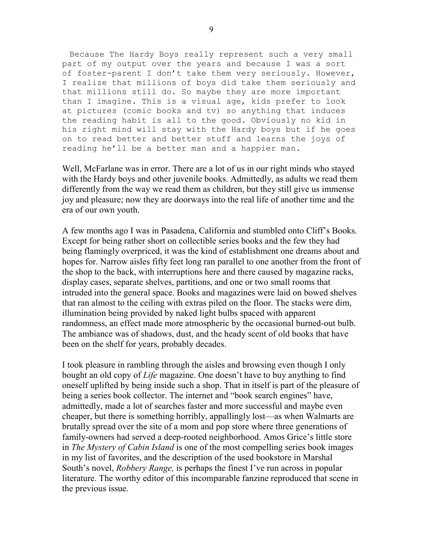Because The Hardy Boys really represent such a very small part of my output over the years and because I was a sort of foster-parent I don't take them very seriously. However, I realize that millions of boys did take them seriously and that millions still do. So maybe they are more important than I imagine. This is a visual age, kids prefer to look at pictures (comic books and tv) so anything that induces the reading habit is all to the good. Obviously no kid in his right mind will stay with the Hardy boys but if he goes on to read better and better stuff and learns the joys of reading he'll be a better man and a happier man.

Well, McFarlane was in error. There are a lot of us in our right minds who stayed with the Hardy boys and other juvenile books. Admittedly, as adults we read them differently from the way we read them as children, but they still give us immense joy and pleasure; now they are doorways into the real life of another time and the era of our own youth.

A few months ago I was in Pasadena, California and stumbled onto Cliff's Books. Except for being rather short on collectible series books and the few they had being flamingly overpriced, it was the kind of establishment one dreams about and hopes for. Narrow aisles fifty feet long ran parallel to one another from the front of the shop to the back, with interruptions here and there caused by magazine racks, display cases, separate shelves, partitions, and one or two small rooms that intruded into the general space. Books and magazines were laid on bowed shelves that ran almost to the ceiling with extras piled on the floor. The stacks were dim, illumination being provided by naked light bulbs spaced with apparent randomness, an effect made more atmospheric by the occasional burned-out bulb. The ambiance was of shadows, dust, and the heady scent of old books that have been on the shelf for years, probably decades.

I took pleasure in rambling through the aisles and browsing even though I only bought an old copy of *Life* magazine. One doesn't have to buy anything to find oneself uplifted by being inside such a shop. That in itself is part of the pleasure of being a series book collector. The internet and "book search engines" have, admittedly, made a lot of searches faster and more successful and maybe even cheaper, but there is something horribly, appallingly lost—as when Walmarts are brutally spread over the site of a mom and pop store where three generations of family-owners had served a deep-rooted neighborhood. Amos Grice's little store in The Mystery of Cabin Island is one of the most compelling series book images in my list of favorites, and the description of the used bookstore in Marshal South's novel, Robbery Range, is perhaps the finest I've run across in popular literature. The worthy editor of this incomparable fanzine reproduced that scene in the previous issue.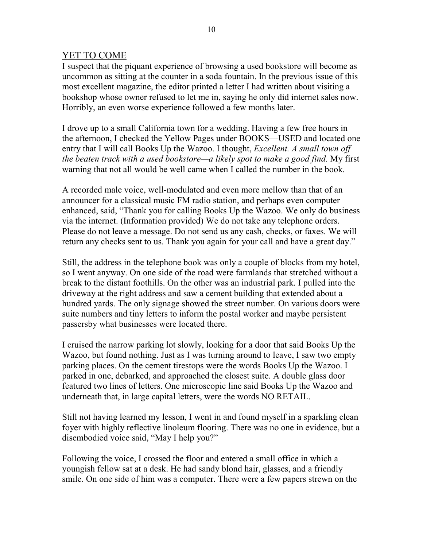## YET TO COME

I suspect that the piquant experience of browsing a used bookstore will become as uncommon as sitting at the counter in a soda fountain. In the previous issue of this most excellent magazine, the editor printed a letter I had written about visiting a bookshop whose owner refused to let me in, saying he only did internet sales now. Horribly, an even worse experience followed a few months later.

I drove up to a small California town for a wedding. Having a few free hours in the afternoon, I checked the Yellow Pages under BOOKS—USED and located one entry that I will call Books Up the Wazoo. I thought, *Excellent. A small town off* the beaten track with a used bookstore—a likely spot to make a good find. My first warning that not all would be well came when I called the number in the book.

A recorded male voice, well-modulated and even more mellow than that of an announcer for a classical music FM radio station, and perhaps even computer enhanced, said, "Thank you for calling Books Up the Wazoo. We only do business via the internet. (Information provided) We do not take any telephone orders. Please do not leave a message. Do not send us any cash, checks, or faxes. We will return any checks sent to us. Thank you again for your call and have a great day."

Still, the address in the telephone book was only a couple of blocks from my hotel, so I went anyway. On one side of the road were farmlands that stretched without a break to the distant foothills. On the other was an industrial park. I pulled into the driveway at the right address and saw a cement building that extended about a hundred yards. The only signage showed the street number. On various doors were suite numbers and tiny letters to inform the postal worker and maybe persistent passersby what businesses were located there.

I cruised the narrow parking lot slowly, looking for a door that said Books Up the Wazoo, but found nothing. Just as I was turning around to leave, I saw two empty parking places. On the cement tirestops were the words Books Up the Wazoo. I parked in one, debarked, and approached the closest suite. A double glass door featured two lines of letters. One microscopic line said Books Up the Wazoo and underneath that, in large capital letters, were the words NO RETAIL.

Still not having learned my lesson, I went in and found myself in a sparkling clean foyer with highly reflective linoleum flooring. There was no one in evidence, but a disembodied voice said, "May I help you?"

Following the voice, I crossed the floor and entered a small office in which a youngish fellow sat at a desk. He had sandy blond hair, glasses, and a friendly smile. On one side of him was a computer. There were a few papers strewn on the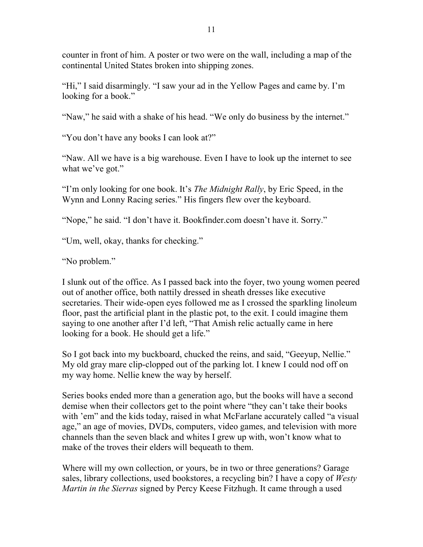counter in front of him. A poster or two were on the wall, including a map of the continental United States broken into shipping zones.

"Hi," I said disarmingly. "I saw your ad in the Yellow Pages and came by. I'm looking for a book."

"Naw," he said with a shake of his head. "We only do business by the internet."

"You don't have any books I can look at?"

"Naw. All we have is a big warehouse. Even I have to look up the internet to see what we've got."

"I'm only looking for one book. It's *The Midnight Rally*, by Eric Speed, in the Wynn and Lonny Racing series." His fingers flew over the keyboard.

"Nope," he said. "I don't have it. Bookfinder.com doesn't have it. Sorry."

"Um, well, okay, thanks for checking."

"No problem."

I slunk out of the office. As I passed back into the foyer, two young women peered out of another office, both nattily dressed in sheath dresses like executive secretaries. Their wide-open eyes followed me as I crossed the sparkling linoleum floor, past the artificial plant in the plastic pot, to the exit. I could imagine them saying to one another after I'd left, "That Amish relic actually came in here looking for a book. He should get a life."

So I got back into my buckboard, chucked the reins, and said, "Geeyup, Nellie." My old gray mare clip-clopped out of the parking lot. I knew I could nod off on my way home. Nellie knew the way by herself.

Series books ended more than a generation ago, but the books will have a second demise when their collectors get to the point where "they can't take their books with 'em" and the kids today, raised in what McFarlane accurately called "a visual age," an age of movies, DVDs, computers, video games, and television with more channels than the seven black and whites I grew up with, won't know what to make of the troves their elders will bequeath to them.

Where will my own collection, or yours, be in two or three generations? Garage sales, library collections, used bookstores, a recycling bin? I have a copy of *Westy* Martin in the Sierras signed by Percy Keese Fitzhugh. It came through a used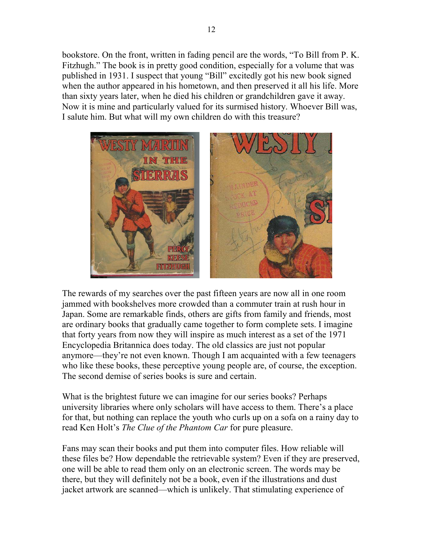bookstore. On the front, written in fading pencil are the words, "To Bill from P. K. Fitzhugh." The book is in pretty good condition, especially for a volume that was published in 1931. I suspect that young "Bill" excitedly got his new book signed when the author appeared in his hometown, and then preserved it all his life. More than sixty years later, when he died his children or grandchildren gave it away. Now it is mine and particularly valued for its surmised history. Whoever Bill was, I salute him. But what will my own children do with this treasure?



The rewards of my searches over the past fifteen years are now all in one room jammed with bookshelves more crowded than a commuter train at rush hour in Japan. Some are remarkable finds, others are gifts from family and friends, most are ordinary books that gradually came together to form complete sets. I imagine that forty years from now they will inspire as much interest as a set of the 1971 Encyclopedia Britannica does today. The old classics are just not popular anymore—they're not even known. Though I am acquainted with a few teenagers who like these books, these perceptive young people are, of course, the exception. The second demise of series books is sure and certain.

What is the brightest future we can imagine for our series books? Perhaps university libraries where only scholars will have access to them. There's a place for that, but nothing can replace the youth who curls up on a sofa on a rainy day to read Ken Holt's The Clue of the Phantom Car for pure pleasure.

Fans may scan their books and put them into computer files. How reliable will these files be? How dependable the retrievable system? Even if they are preserved, one will be able to read them only on an electronic screen. The words may be there, but they will definitely not be a book, even if the illustrations and dust jacket artwork are scanned—which is unlikely. That stimulating experience of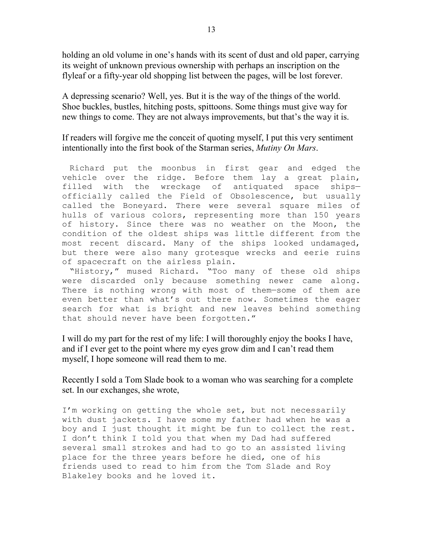holding an old volume in one's hands with its scent of dust and old paper, carrying its weight of unknown previous ownership with perhaps an inscription on the flyleaf or a fifty-year old shopping list between the pages, will be lost forever.

A depressing scenario? Well, yes. But it is the way of the things of the world. Shoe buckles, bustles, hitching posts, spittoons. Some things must give way for new things to come. They are not always improvements, but that's the way it is.

If readers will forgive me the conceit of quoting myself, I put this very sentiment intentionally into the first book of the Starman series, Mutiny On Mars.

 Richard put the moonbus in first gear and edged the vehicle over the ridge. Before them lay a great plain, filled with the wreckage of antiquated space ships officially called the Field of Obsolescence, but usually called the Boneyard. There were several square miles of hulls of various colors, representing more than 150 years of history. Since there was no weather on the Moon, the condition of the oldest ships was little different from the most recent discard. Many of the ships looked undamaged, but there were also many grotesque wrecks and eerie ruins of spacecraft on the airless plain.

 "History," mused Richard. "Too many of these old ships were discarded only because something newer came along. There is nothing wrong with most of them—some of them are even better than what's out there now. Sometimes the eager search for what is bright and new leaves behind something that should never have been forgotten."

I will do my part for the rest of my life: I will thoroughly enjoy the books I have, and if I ever get to the point where my eyes grow dim and I can't read them myself, I hope someone will read them to me.

Recently I sold a Tom Slade book to a woman who was searching for a complete set. In our exchanges, she wrote,

I'm working on getting the whole set, but not necessarily with dust jackets. I have some my father had when he was a boy and I just thought it might be fun to collect the rest. I don't think I told you that when my Dad had suffered several small strokes and had to go to an assisted living place for the three years before he died, one of his friends used to read to him from the Tom Slade and Roy Blakeley books and he loved it.